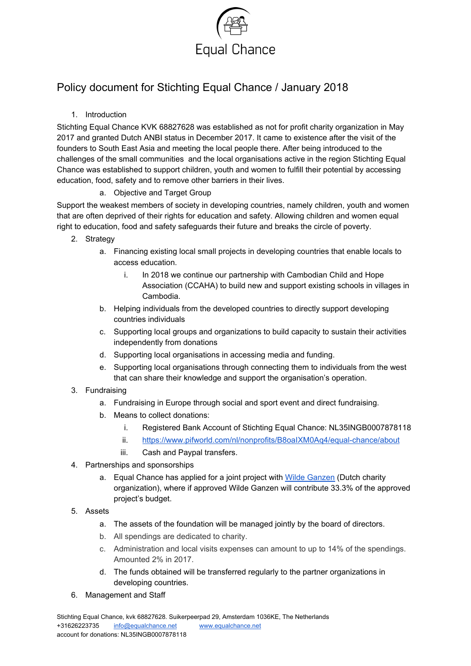

## Policy document for Stichting Equal Chance / January 2018

## 1. Introduction

Stichting Equal Chance KVK 68827628 was established as not for profit charity organization in May 2017 and granted Dutch ANBI status in December 2017. It came to existence after the visit of the founders to South East Asia and meeting the local people there. After being introduced to the challenges of the small communities and the local organisations active in the region Stichting Equal Chance was established to support children, youth and women to fulfill their potential by accessing education, food, safety and to remove other barriers in their lives.

## a. Objective and Target Group

Support the weakest members of society in developing countries, namely children, youth and women that are often deprived of their rights for education and safety. Allowing children and women equal right to education, food and safety safeguards their future and breaks the circle of poverty.

- 2. Strategy
	- a. Financing existing local small projects in developing countries that enable locals to access education.
		- i. In 2018 we continue our partnership with Cambodian Child and Hope Association (CCAHA) to build new and support existing schools in villages in Cambodia.
	- b. Helping individuals from the developed countries to directly support developing countries individuals
	- c. Supporting local groups and organizations to build capacity to sustain their activities independently from donations
	- d. Supporting local organisations in accessing media and funding.
	- e. Supporting local organisations through connecting them to individuals from the west that can share their knowledge and support the organisation's operation.
- 3. Fundraising
	- a. Fundraising in Europe through social and sport event and direct fundraising.
	- b. Means to collect donations:
		- i. Registered Bank Account of Stichting Equal Chance: NL35INGB0007878118
		- ii. <https://www.pifworld.com/nl/nonprofits/B8oaIXM0Aq4/equal-chance/about>
		- iii. Cash and Paypal transfers.
- 4. Partnerships and sponsorships
	- a. Equal Chance has applied for a joint project with Wilde [Ganzen](https://www.wildeganzen.nl/about-wilde-ganzen) (Dutch charity organization), where if approved Wilde Ganzen will contribute 33.3% of the approved project's budget.
- 5. Assets
	- a. The assets of the foundation will be managed jointly by the board of directors.
	- b. All spendings are dedicated to charity.
	- c. Administration and local visits expenses can amount to up to 14% of the spendings. Amounted 2% in 2017.
	- d. The funds obtained will be transferred regularly to the partner organizations in developing countries.
- 6. Management and Staff